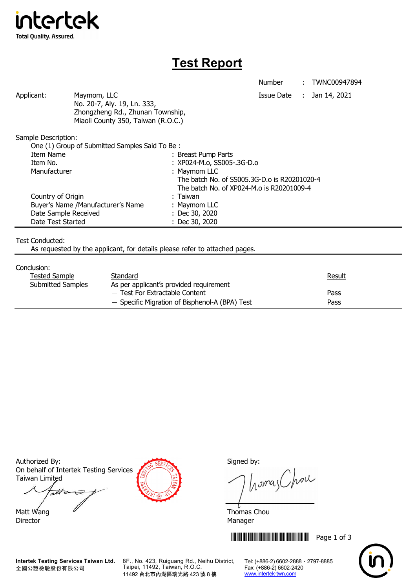

## **Test Report**

Applicant: Maymom, LLC Maymon, LLC Applicant: Jan 14, 2021 No. 20-7, Aly. 19, Ln. 333, Zhongzheng Rd., Zhunan Township, Miaoli County 350, Taiwan (R.O.C.)

Sample Description:

| One (1) Group of Submitted Samples Said To Be: |                                              |
|------------------------------------------------|----------------------------------------------|
| Item Name                                      | : Breast Pump Parts                          |
| Item No.                                       | : XP024-M.o, SS005-.3G-D.o                   |
| Manufacturer                                   | : Maymom LLC                                 |
|                                                | The batch No. of SS005.3G-D.o is R20201020-4 |
|                                                | The batch No. of XP024-M.o is R20201009-4    |
| Country of Origin                              | : Taiwan                                     |
| Buyer's Name /Manufacturer's Name              | : Maymom LLC                                 |
| Date Sample Received                           | $:$ Dec 30, 2020                             |
| Date Test Started                              | : Dec 30, 2020                               |

Test Conducted:

As requested by the applicant, for details please refer to attached pages.

## Conclusion:

| uuruuni u                |                                                |        |
|--------------------------|------------------------------------------------|--------|
| Tested Sample            | Standard                                       | Result |
| <b>Submitted Samples</b> | As per applicant's provided requirement        |        |
|                          | - Test For Extractable Content                 | Pass   |
|                          | - Specific Migration of Bisphenol-A (BPA) Test | Pass   |
|                          |                                                |        |

Authorized By: Signed by: Signed by: On behalf of Intertek Testing Services Taiwan Limited

att Matt Wang  $\overline{a}$  Matt Wang  $\overline{a}$ 

Director Manager



homas Chou

**THEFT REFERENCE IN THE FULL THE REPORT OF 3** 



**Intertek Testing Services Taiwan Ltd.** 全國公證檢驗股份有限公司

8F., No. 423, Ruiguang Rd., Neihu District, Taipei, 11492, Taiwan, R.O.C. 11492 台北市內湖區瑞光路 423 號 8 樓

Tel: (+886-2) 6602-2888 · 2797-8885 Fax: (+886-2) 6602-2420 www.intertek-twn.com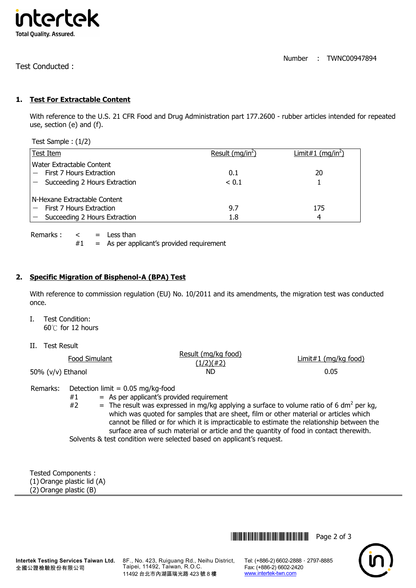

Test Conducted :

## **1. Test For Extractable Content**

With reference to the U.S. 21 CFR Food and Drug Administration part 177.2600 - rubber articles intended for repeated use, section (e) and (f).

Test Sample : (1/2)

| Test Item                         | Result $(mq/in^2)$ | Limit#1 (mq/in <sup>2</sup> ) |
|-----------------------------------|--------------------|-------------------------------|
| l Water Extractable Content       |                    |                               |
| First 7 Hours Extraction          | 0.1                | 20                            |
| $-$ Succeeding 2 Hours Extraction | < 0.1              |                               |
| l N-Hexane Extractable Content    |                    |                               |
| First 7 Hours Extraction          | 9.7                | 175                           |
| $-$ Succeeding 2 Hours Extraction | 1.8                | 4                             |

Remarks :  $\lt$  = Less than

 $#1$  = As per applicant's provided requirement

## **2. Specific Migration of Bisphenol-A (BPA) Test**

With reference to commission regulation (EU) No. 10/2011 and its amendments, the migration test was conducted once.

- I. Test Condition: 60℃ for 12 hours
- II. Test Result

| Food Simulant     | Result (mg/kg food)<br>(1/2)(#2) | Limit#1 (mg/kg food) |
|-------------------|----------------------------------|----------------------|
| 50% (v/v) Ethanol | ND.                              | 0.05                 |

Remarks: Detection limit = 0.05 mg/kg-food

 $#1$  = As per applicant's provided requirement

#2  $=$  The result was expressed in mg/kg applying a surface to volume ratio of 6 dm<sup>2</sup> per kg, which was quoted for samples that are sheet, film or other material or articles which cannot be filled or for which it is impracticable to estimate the relationship between the surface area of such material or article and the quantity of food in contact therewith. Solvents & test condition were selected based on applicant's request.

Tested Components : (1) Orange plastic lid (A) (2) Orange plastic (B)

**Intertek Testing Services Taiwan Ltd.** 全國公證檢驗股份有限公司

8F., No. 423, Ruiguang Rd., Neihu District, Taipei, 11492, Taiwan, R.O.C. 11492 台北市內湖區瑞光路 423 號 8 樓

Tel: (+886-2) 6602-2888 · 2797-8885 Fax: (+886-2) 6602-2420 www.intertek-twn.com

**THEFT THEFT THEFT THEFT THEFT THEFT THEFT THEFT THEFT THEFT THEFT THEFT THEFT THEFT THEFT THEFT THEFT THEFT TH**